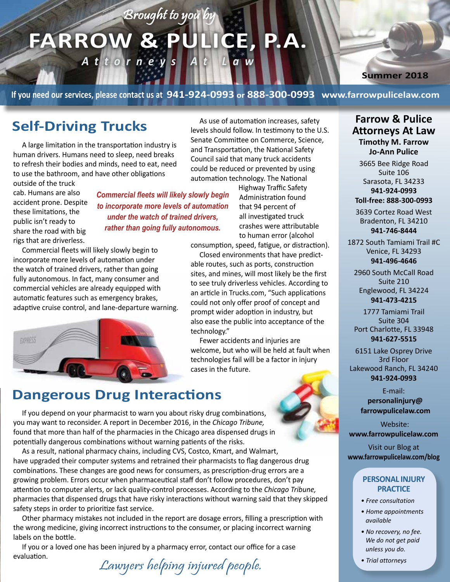# FARROW & PULICE, P.A. *Attorneys At Law*

Brought to you by

**Summer 2018**

**If you need our services, please contact us at 941-924-0993 or 888-300-0993 www.farrowpulicelaw.com**

A large limitation in the transportation industry is human drivers. Humans need to sleep, need breaks to refresh their bodies and minds, need to eat, need to use the bathroom, and have other obligations

outside of the truck cab. Humans are also accident prone. Despite these limitations, the public isn't ready to share the road with big rigs that are driverless.

*Commercial fleets will likely slowly begin to incorporate more levels of automation under the watch of trained drivers, rather than going fully autonomous.*

Commercial fleets will likely slowly begin to incorporate more levels of automation under the watch of trained drivers, rather than going fully autonomous. In fact, many consumer and commercial vehicles are already equipped with automatic features such as emergency brakes, adaptive cruise control, and lane-departure warning.



**Self-Driving Trucks**<br>
As use of automation increases, safety<br>
levels should follow. In testimony to the U levels should follow. In testimony to the U.S. Senate Committee on Commerce, Science, and Transportation, the National Safety Council said that many truck accidents could be reduced or prevented by using automation technology. The National

> Highway Traffic Safety Administration found that 94 percent of all investigated truck crashes were attributable to human error (alcohol

consumption, speed, fatigue, or distraction).

Closed environments that have predictable routes, such as ports, construction sites, and mines, will most likely be the first to see truly driverless vehicles. According to an article in Trucks.com, "Such applications could not only offer proof of concept and prompt wider adoption in industry, but also ease the public into acceptance of the technology."

Fewer accidents and injuries are welcome, but who will be held at fault when technologies fail will be a factor in injury cases in the future.

#### **Farrow & Pulice Attorneys At Law Timothy M. Farrow Jo-Ann Pulice** 3665 Bee Ridge Road

Suite 106 Sarasota, FL 34233 **941-924-0993 Toll-free: 888-300-0993**

3639 Cortez Road West Bradenton, FL 34210 **941-746-8444**

1872 South Tamiami Trail #C Venice, FL 34293 **941-496-4646**

2960 South McCall Road Suite 210 Englewood, FL 34224 **941-473-4215**

1777 Tamiami Trail Suite 304 Port Charlotte, FL 33948 **941-627-5515**

6151 Lake Osprey Drive 3rd Floor Lakewood Ranch, FL 34240 **941-924-0993**

> E-mail: **personalinjury@ farrowpulicelaw.com**

Website: **www.farrowpulicelaw.com**

Visit our Blog at **www.farrowpulicelaw.com/blog**

#### **PERSONAL INJURY PRACTICE**

- *Free consultation*
- *Home appointments available*
- *No recovery, no fee. We do not get paid unless you do.*
- *Trial attorneys*

#### **Dangerous Drug Interactions**

If you depend on your pharmacist to warn you about risky drug combinations, you may want to reconsider. A report in December 2016, in the *Chicago Tribune,* found that more than half of the pharmacies in the Chicago area dispensed drugs in potentially dangerous combinations without warning patients of the risks.

As a result, national pharmacy chains, including CVS, Costco, Kmart, and Walmart, have upgraded their computer systems and retrained their pharmacists to flag dangerous drug combinations. These changes are good news for consumers, as prescription-drug errors are a growing problem. Errors occur when pharmaceutical staff don't follow procedures, don't pay attention to computer alerts, or lack quality-control processes. According to the *Chicago Tribune,*  pharmacies that dispensed drugs that have risky interactions without warning said that they skipped safety steps in order to prioritize fast service.

Other pharmacy mistakes not included in the report are dosage errors, filling a prescription with the wrong medicine, giving incorrect instructions to the consumer, or placing incorrect warning labels on the bottle.

If you or a loved one has been injured by a pharmacy error, contact our office for a case evaluation.

Lawyers helping injured people.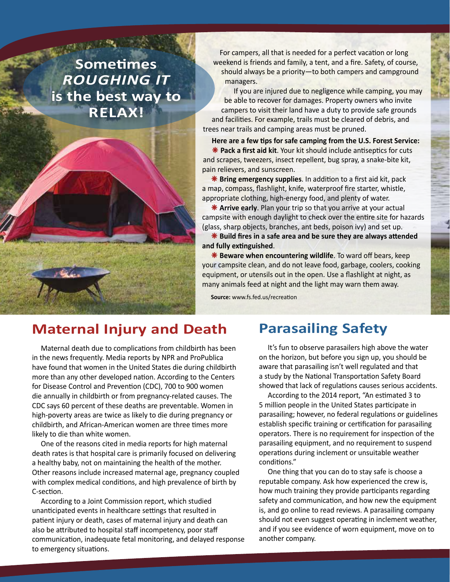## **Sometimes**  *ROUGHING IT* **is the best way to RELAX!**



For campers, all that is needed for a perfect vacation or long weekend is friends and family, a tent, and a fire. Safety, of course, should always be a priority—to both campers and campground managers.

If you are injured due to negligence while camping, you may be able to recover for damages. Property owners who invite campers to visit their land have a duty to provide safe grounds and facilities. For example, trails must be cleared of debris, and trees near trails and camping areas must be pruned.

**Here are a few tips for safe camping from the U.S. Forest Service: \*** Pack a first aid kit. Your kit should include antiseptics for cuts and scrapes, tweezers, insect repellent, bug spray, a snake-bite kit, pain relievers, and sunscreen.

**\*** Bring emergency supplies. In addition to a first aid kit, pack a map, compass, flashlight, knife, waterproof fire starter, whistle, appropriate clothing, high-energy food, and plenty of water.

**\*** Arrive early. Plan your trip so that you arrive at your actual campsite with enough daylight to check over the entire site for hazards (glass, sharp objects, branches, ant beds, poison ivy) and set up.

 **Build fires in a safe area and be sure they are always attended and fully extinguished**.

**\* Beware when encountering wildlife**. To ward off bears, keep your campsite clean, and do not leave food, garbage, coolers, cooking equipment, or utensils out in the open. Use a flashlight at night, as many animals feed at night and the light may warn them away.

**Source:** www.fs.fed.us/recreation

#### **Maternal Injury and Death**

Maternal death due to complications from childbirth has been in the news frequently. Media reports by NPR and ProPublica have found that women in the United States die during childbirth more than any other developed nation. According to the Centers for Disease Control and Prevention (CDC), 700 to 900 women die annually in childbirth or from pregnancy-related causes. The CDC says 60 percent of these deaths are preventable. Women in high-poverty areas are twice as likely to die during pregnancy or childbirth, and African-American women are three times more likely to die than white women.

One of the reasons cited in media reports for high maternal death rates is that hospital care is primarily focused on delivering a healthy baby, not on maintaining the health of the mother. Other reasons include increased maternal age, pregnancy coupled with complex medical conditions, and high prevalence of birth by C-section.

According to a Joint Commission report, which studied unanticipated events in healthcare settings that resulted in patient injury or death, cases of maternal injury and death can also be attributed to hospital staff incompetency, poor staff communication, inadequate fetal monitoring, and delayed response to emergency situations.

#### **Parasailing Safety**

It's fun to observe parasailers high above the water on the horizon, but before you sign up, you should be aware that parasailing isn't well regulated and that a study by the National Transportation Safety Board showed that lack of regulations causes serious accidents.

According to the 2014 report, "An estimated 3 to 5 million people in the United States participate in parasailing; however, no federal regulations or guidelines establish specific training or certification for parasailing operators. There is no requirement for inspection of the parasailing equipment, and no requirement to suspend operations during inclement or unsuitable weather conditions."

One thing that you can do to stay safe is choose a reputable company. Ask how experienced the crew is, how much training they provide participants regarding safety and communication, and how new the equipment is, and go online to read reviews. A parasailing company should not even suggest operating in inclement weather, and if you see evidence of worn equipment, move on to another company.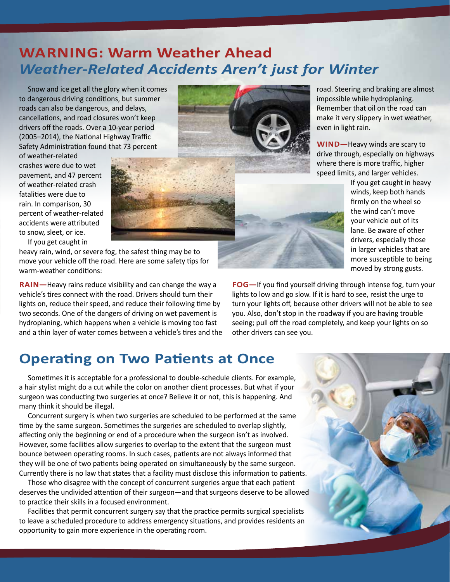### **WARNING: Warm Weather Ahead** *Weather-Related Accidents Aren't just for Winter*

Snow and ice get all the glory when it comes to dangerous driving conditions, but summer roads can also be dangerous, and delays, cancellations, and road closures won't keep drivers off the roads. Over a 10-year period (2005–2014), the National Highway Traffic Safety Administration found that 73 percent

of weather-related crashes were due to wet pavement, and 47 percent of weather-related crash fatalities were due to rain. In comparison, 30 percent of weather-related accidents were attributed to snow, sleet, or ice.



If you get caught in

heavy rain, wind, or severe fog, the safest thing may be to move your vehicle off the road. Here are some safety tips for warm-weather conditions:

**RAIN—**Heavy rains reduce visibility and can change the way a vehicle's tires connect with the road. Drivers should turn their lights on, reduce their speed, and reduce their following time by two seconds. One of the dangers of driving on wet pavement is hydroplaning, which happens when a vehicle is moving too fast and a thin layer of water comes between a vehicle's tires and the road. Steering and braking are almost impossible while hydroplaning. Remember that oil on the road can make it very slippery in wet weather, even in light rain.

**WIND—**Heavy winds are scary to drive through, especially on highways where there is more traffic, higher speed limits, and larger vehicles.

> If you get caught in heavy winds, keep both hands firmly on the wheel so the wind can't move your vehicle out of its lane. Be aware of other drivers, especially those in larger vehicles that are more susceptible to being moved by strong gusts.



**FOG—**If you find yourself driving through intense fog, turn your lights to low and go slow. If it is hard to see, resist the urge to turn your lights off, because other drivers will not be able to see you. Also, don't stop in the roadway if you are having trouble seeing; pull off the road completely, and keep your lights on so other drivers can see you.

#### **Operating on Two Patients at Once**

Sometimes it is acceptable for a professional to double-schedule clients. For example, a hair stylist might do a cut while the color on another client processes. But what if your surgeon was conducting two surgeries at once? Believe it or not, this is happening. And many think it should be illegal.

Concurrent surgery is when two surgeries are scheduled to be performed at the same time by the same surgeon. Sometimes the surgeries are scheduled to overlap slightly, affecting only the beginning or end of a procedure when the surgeon isn't as involved. However, some facilities allow surgeries to overlap to the extent that the surgeon must bounce between operating rooms. In such cases, patients are not always informed that they will be one of two patients being operated on simultaneously by the same surgeon. Currently there is no law that states that a facility must disclose this information to patients.

Those who disagree with the concept of concurrent surgeries argue that each patient deserves the undivided attention of their surgeon—and that surgeons deserve to be allowed to practice their skills in a focused environment.

Facilities that permit concurrent surgery say that the practice permits surgical specialists to leave a scheduled procedure to address emergency situations, and provides residents an opportunity to gain more experience in the operating room.